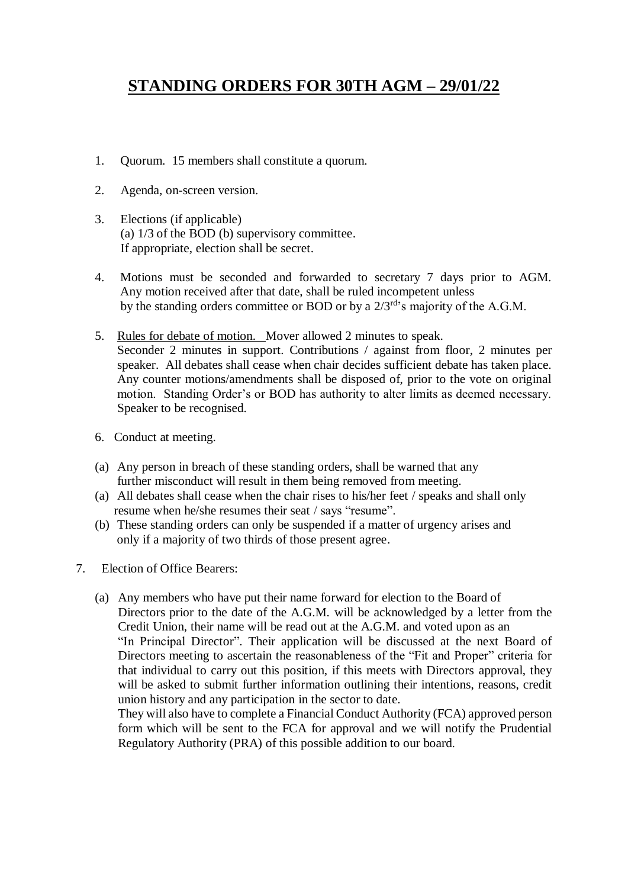## **STANDING ORDERS FOR 30TH AGM – 29/01/22**

- 1. Quorum. 15 members shall constitute a quorum.
- 2. Agenda, on-screen version.
- 3. Elections (if applicable) (a) 1/3 of the BOD (b) supervisory committee. If appropriate, election shall be secret.
- 4. Motions must be seconded and forwarded to secretary 7 days prior to AGM. Any motion received after that date, shall be ruled incompetent unless by the standing orders committee or BOD or by a  $2/3^{rd}$ 's majority of the A.G.M.
- 5. Rules for debate of motion. Mover allowed 2 minutes to speak. Seconder 2 minutes in support. Contributions / against from floor, 2 minutes per speaker. All debates shall cease when chair decides sufficient debate has taken place. Any counter motions/amendments shall be disposed of, prior to the vote on original motion. Standing Order's or BOD has authority to alter limits as deemed necessary. Speaker to be recognised.
- 6. Conduct at meeting.
- (a) Any person in breach of these standing orders, shall be warned that any further misconduct will result in them being removed from meeting.
- (a) All debates shall cease when the chair rises to his/her feet / speaks and shall only resume when he/she resumes their seat / says "resume".
- (b) These standing orders can only be suspended if a matter of urgency arises and only if a majority of two thirds of those present agree.
- 7. Election of Office Bearers:
	- (a) Any members who have put their name forward for election to the Board of Directors prior to the date of the A.G.M. will be acknowledged by a letter from the Credit Union, their name will be read out at the A.G.M. and voted upon as an "In Principal Director". Their application will be discussed at the next Board of Directors meeting to ascertain the reasonableness of the "Fit and Proper" criteria for that individual to carry out this position, if this meets with Directors approval, they will be asked to submit further information outlining their intentions, reasons, credit union history and any participation in the sector to date.

They will also have to complete a Financial Conduct Authority (FCA) approved person form which will be sent to the FCA for approval and we will notify the Prudential Regulatory Authority (PRA) of this possible addition to our board.